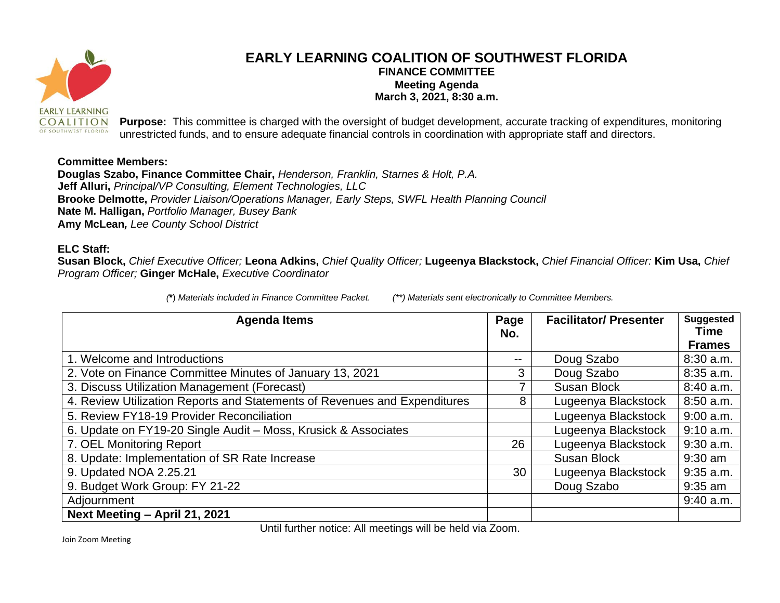

## **EARLY LEARNING COALITION OF SOUTHWEST FLORIDA FINANCE COMMITTEE Meeting Agenda March 3, 2021, 8:30 a.m.**

**Purpose:** This committee is charged with the oversight of budget development, accurate tracking of expenditures, monitoring unrestricted funds, and to ensure adequate financial controls in coordination with appropriate staff and directors.

## **Committee Members:**

**Douglas Szabo, Finance Committee Chair,** *Henderson, Franklin, Starnes & Holt, P.A.* **Jeff Alluri,** *Principal/VP Consulting, Element Technologies, LLC* **Brooke Delmotte,** *Provider Liaison/Operations Manager, Early Steps, SWFL Health Planning Council* **Nate M. Halligan,** *Portfolio Manager, Busey Bank* **Amy McLean***, Lee County School District*

## **ELC Staff:**

**Susan Block,** *Chief Executive Officer;* **Leona Adkins,** *Chief Quality Officer;* **Lugeenya Blackstock,** *Chief Financial Officer:* **Kim Usa,** *Chief Program Officer;* **Ginger McHale,** *Executive Coordinator*

*(***\***) *Materials included in Finance Committee Packet. (\*\*) Materials sent electronically to Committee Members.*

| <b>Agenda Items</b>                                                       | Page<br>No.       | <b>Facilitator/Presenter</b> | <b>Suggested</b><br><b>Time</b> |
|---------------------------------------------------------------------------|-------------------|------------------------------|---------------------------------|
|                                                                           |                   |                              | <b>Frames</b>                   |
| 1. Welcome and Introductions                                              | $\qquad \qquad -$ | Doug Szabo                   | $8:30$ a.m.                     |
| 2. Vote on Finance Committee Minutes of January 13, 2021                  | 3                 | Doug Szabo                   | 8:35 a.m.                       |
| 3. Discuss Utilization Management (Forecast)                              | 7                 | <b>Susan Block</b>           | 8:40 a.m.                       |
| 4. Review Utilization Reports and Statements of Revenues and Expenditures | 8                 | Lugeenya Blackstock          | 8:50 a.m.                       |
| 5. Review FY18-19 Provider Reconciliation                                 |                   | Lugeenya Blackstock          | $9:00$ a.m.                     |
| 6. Update on FY19-20 Single Audit - Moss, Krusick & Associates            |                   | Lugeenya Blackstock          | $9:10$ a.m.                     |
| 7. OEL Monitoring Report                                                  | 26                | Lugeenya Blackstock          | $9:30$ a.m.                     |
| 8. Update: Implementation of SR Rate Increase                             |                   | <b>Susan Block</b>           | $9:30$ am                       |
| 9. Updated NOA 2.25.21                                                    | 30                | Lugeenya Blackstock          | $9:35$ a.m.                     |
| 9. Budget Work Group: FY 21-22                                            |                   | Doug Szabo                   | $9:35$ am                       |
| Adjournment                                                               |                   |                              | $9:40$ a.m.                     |
| Next Meeting - April 21, 2021                                             |                   |                              |                                 |

Until further notice: All meetings will be held via Zoom.